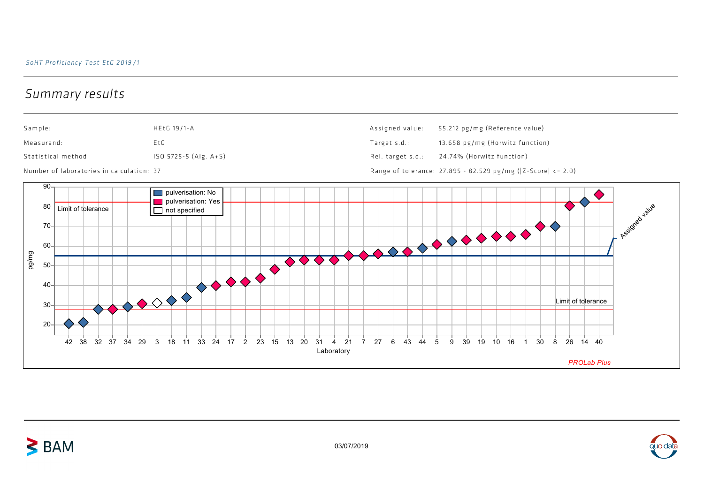## Summary results

 $\geq$  BAM



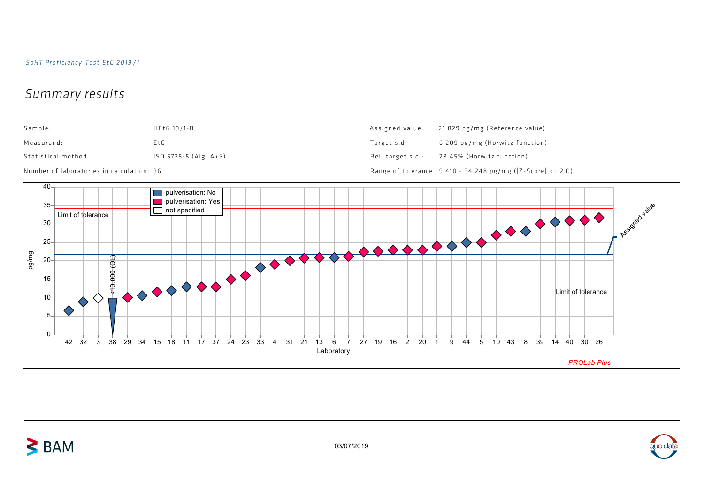## Summary results



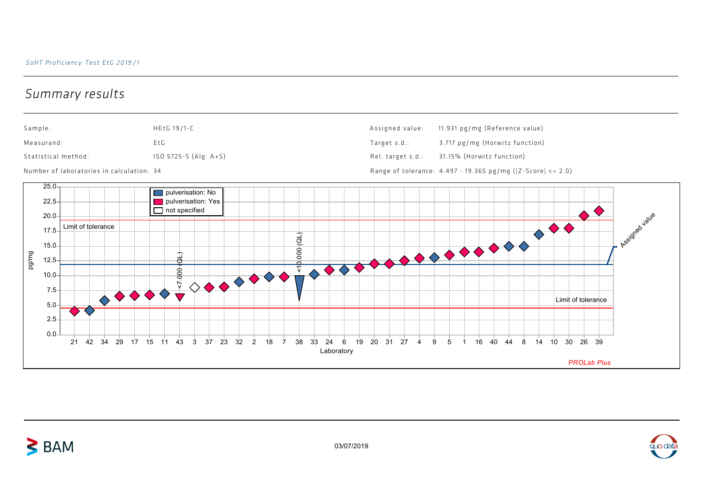## Summary results

 $\geq$  BAM





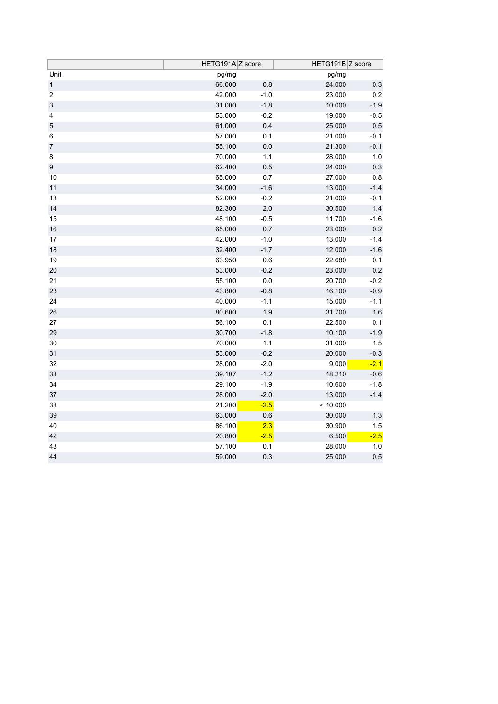|                           | HETG191A Z score |         | HETG191B Z score |         |
|---------------------------|------------------|---------|------------------|---------|
| Unit                      | pg/mg            |         | pg/mg            |         |
| $\mathbf{1}$              | 66.000           | $0.8\,$ | 24.000           | 0.3     |
| $\boldsymbol{2}$          | 42.000           | $-1.0$  | 23.000           | 0.2     |
| $\ensuremath{\mathsf{3}}$ | 31.000           | $-1.8$  | 10.000           | $-1.9$  |
| $\overline{\mathbf{4}}$   | 53.000           | $-0.2$  | 19.000           | $-0.5$  |
| $\mathbf 5$               | 61.000           | 0.4     | 25.000           | 0.5     |
| 6                         | 57.000           | 0.1     | 21.000           | $-0.1$  |
| $\overline{7}$            | 55.100           | 0.0     | 21.300           | $-0.1$  |
| 8                         | 70.000           | 1.1     | 28.000           | 1.0     |
| 9                         | 62.400           | $0.5\,$ | 24.000           | 0.3     |
| 10                        | 65.000           | 0.7     | 27.000           | 0.8     |
| 11                        | 34.000           | $-1.6$  | 13.000           | $-1.4$  |
| 13                        | 52.000           | $-0.2$  | 21.000           | $-0.1$  |
| 14                        | 82.300           | 2.0     | 30.500           | 1.4     |
| 15                        | 48.100           | $-0.5$  | 11.700           | $-1.6$  |
| $16$                      | 65.000           | 0.7     | 23.000           | $0.2\,$ |
| 17                        | 42.000           | $-1.0$  | 13.000           | $-1.4$  |
| 18                        | 32.400           | $-1.7$  | 12.000           | $-1.6$  |
| 19                        | 63.950           | 0.6     | 22.680           | 0.1     |
| 20                        | 53.000           | $-0.2$  | 23.000           | $0.2\,$ |
| 21                        | 55.100           | $0.0\,$ | 20.700           | $-0.2$  |
| 23                        | 43.800           | $-0.8$  | 16.100           | $-0.9$  |
| 24                        | 40.000           | $-1.1$  | 15.000           | $-1.1$  |
| 26                        | 80.600           | 1.9     | 31.700           | 1.6     |
| 27                        | 56.100           | 0.1     | 22.500           | 0.1     |
| 29                        | 30.700           | $-1.8$  | 10.100           | $-1.9$  |
| 30                        | 70.000           | $1.1$   | 31.000           | $1.5$   |
| 31                        | 53.000           | $-0.2$  | 20.000           | $-0.3$  |
| 32                        | 28.000           | $-2.0$  | 9.000            | $-2.1$  |
| 33                        | 39.107           | $-1.2$  | 18.210           | $-0.6$  |
| 34                        | 29.100           | $-1.9$  | 10.600           | $-1.8$  |
| 37                        | 28.000           | $-2.0$  | 13.000           | $-1.4$  |
| 38                        | 21.200           | $-2.5$  | < 10.000         |         |
| 39                        | 63.000           | 0.6     | 30.000           | $1.3$   |
| 40                        | 86.100           | 2.3     | 30.900           | 1.5     |
| 42                        | 20.800           | $-2.5$  | 6.500            | $-2.5$  |
| 43                        | 57.100           | 0.1     | 28.000           | 1.0     |
| 44                        | 59.000           | 0.3     | 25.000           | 0.5     |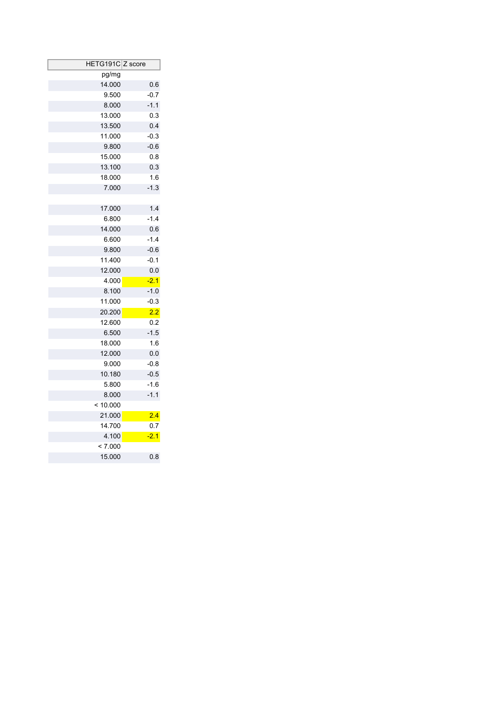| HETG191C Z score |        |
|------------------|--------|
| pg/mg            |        |
| 14.000           | 0.6    |
| 9.500            | $-0.7$ |
| 8.000            | $-1.1$ |
| 13.000           | 0.3    |
| 13.500           | 0.4    |
| 11.000           | $-0.3$ |
| 9.800            | $-0.6$ |
| 15.000           | 0.8    |
| 13.100           | 0.3    |
| 18.000           | 1.6    |
| 7.000            | $-1.3$ |
|                  |        |
| 17.000           | 1.4    |
| 6.800            | $-1.4$ |
| 14.000           | 0.6    |
| 6.600            | $-1.4$ |
| 9.800            | $-0.6$ |
| 11.400           | $-0.1$ |
| 12.000           | 0.0    |
| 4.000            | $-2.1$ |
| 8.100            | $-1.0$ |
| 11.000           | $-0.3$ |
| 20.200           | 2.2    |
| 12.600           | 0.2    |
| 6.500            | $-1.5$ |
| 18.000           | 1.6    |
| 12.000           | 0.0    |
| 9.000            | $-0.8$ |
| 10.180           | $-0.5$ |
| 5.800            | $-1.6$ |
| 8.000            | $-1.1$ |
| < 10.000         |        |
| 21.000           | 2.4    |
| 14.700           | 0.7    |
| 4.100            | $-2.1$ |
| < 7.000          |        |
| 15.000           | 0.8    |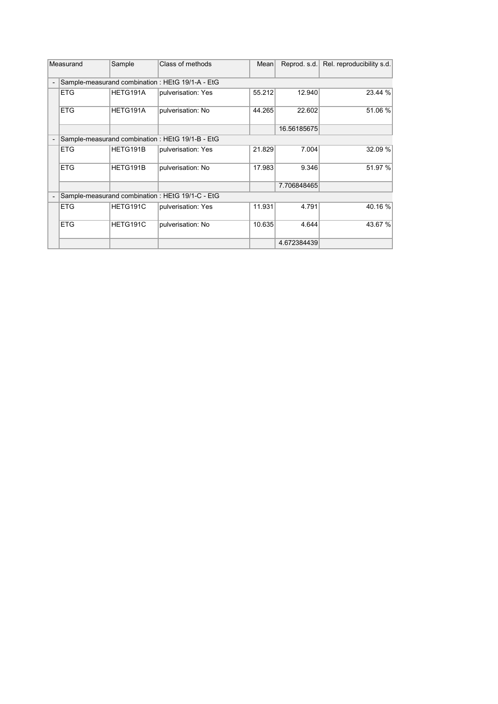|                                                                             | Measurand                                        | Sample   | Class of methods                                | Mean   | Reprod. s.d. | Rel. reproducibility s.d. |
|-----------------------------------------------------------------------------|--------------------------------------------------|----------|-------------------------------------------------|--------|--------------|---------------------------|
| Sample-measurand combination: HEtG 19/1-A - EtG<br>$\overline{\phantom{a}}$ |                                                  |          |                                                 |        |              |                           |
|                                                                             | <b>ETG</b>                                       | HETG191A | pulverisation: Yes                              | 55.212 | 12.940       | 23.44 %                   |
|                                                                             | <b>ETG</b>                                       | HETG191A | pulverisation: No                               | 44.265 | 22.602       | 51.06 %                   |
|                                                                             |                                                  |          |                                                 |        | 16.56185675  |                           |
|                                                                             | Sample-measurand combination : HEtG 19/1-B - EtG |          |                                                 |        |              |                           |
|                                                                             | <b>ETG</b>                                       | HETG191B | pulverisation: Yes                              | 21.829 | 7.004        | 32.09 %                   |
|                                                                             | <b>ETG</b>                                       | HETG191B | pulverisation: No                               | 17.983 | 9.346        | 51.97 %                   |
|                                                                             |                                                  |          |                                                 |        | 7.706848465  |                           |
| $\overline{a}$                                                              |                                                  |          | Sample-measurand combination: HEtG 19/1-C - EtG |        |              |                           |
|                                                                             | <b>ETG</b>                                       | HETG191C | pulverisation: Yes                              | 11.931 | 4.791        | 40.16 %                   |
|                                                                             | <b>ETG</b>                                       | HETG191C | pulverisation: No                               | 10.635 | 4.644        | 43.67 %                   |
|                                                                             |                                                  |          |                                                 |        | 4.672384439  |                           |